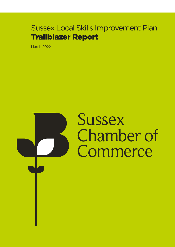## Sussex Local Skills Improvement Plan Trailblazer Report

March 2022

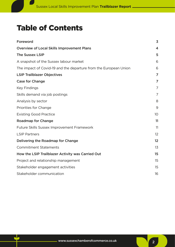## Table of Contents

| Foreword                                                         | $\overline{3}$          |
|------------------------------------------------------------------|-------------------------|
| <b>Overview of Local Skills Improvement Plans</b>                | $\overline{\mathbf{4}}$ |
| <b>The Sussex LSIP</b>                                           | 5                       |
| A snapshot of the Sussex labour market                           | 6                       |
| The impact of Covid-19 and the departure from the European Union | 6                       |
| <b>LSIP Trailblazer Objectives</b>                               | 7                       |
| <b>Case for Change</b>                                           | 7                       |
| <b>Key Findings</b>                                              | 7                       |
| Skills demand via job postings                                   | 7                       |
| Analysis by sector                                               | 8                       |
| Priorities for Change                                            | 9                       |
| <b>Existing Good Practice</b>                                    | 10                      |
| <b>Roadmap for Change</b>                                        | 11                      |
| Future Skills Sussex Improvement Framework                       | 11                      |
| <b>LSIP Partners</b>                                             | 12                      |
| Delivering the Roadmap for Change                                | 12                      |
| <b>Commitment Statements</b>                                     | 13                      |
| How the LSIP Trailblazer Activity was Carried Out                | 15                      |
| Project and relationship management                              | 15                      |
| Stakeholder engagement activities                                | 15                      |
| Stakeholder communication                                        | 16                      |
|                                                                  |                         |

 $\frac{1}{2}$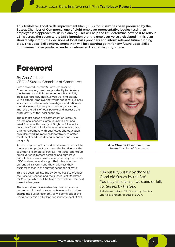<span id="page-2-0"></span>This Trailblazer Local Skills Improvement Plan (LSIP) for Sussex has been produced by the Sussex Chamber of Commerce, one of eight employer representative bodies testing an employer-led approach to skills planning. This will help the DfE determine how best to rollout LSIPs across the country. It is DfE's intention that the employer voice articulated in this plan should help inform the decisions of local skills providers and inform relevant future funding bids. This Local Skills Improvement Plan will be a starting point for any future Local Skills Improvement Plan produced under a national roll out of the programme.

## Foreword

#### By Ana Christie CEO of Sussex Chamber of Commerce

I am delighted that the Sussex Chamber of Commerce was given the opportunity to develop the Sussex Local Skills Improvement Plan (LSIP) Trailblazer project. This involved working closely with partners, employer networks and local business leaders across the area to investigate and articulate the skills needed to support these organisations, improve the skills of local people, and increase the productivity of the local economy.

The plan proposes a reinstatement of Sussex as a functional economic area, reuniting East and West Sussex with the city of Brighton & Hove, to become a focal point for innovative education and skills development, with businesses and education providers working more collaboratively to better meet local need and driving economic and social prosperity.

An amazing amount of work has been carried out by the extended project team over the last five months to undertake employer surveys, individual and group employer engagement sessions and numerous consultation events. We have reached approximately 1,350 businesses and sought their views on the current skills system and the challenges their businesses face in the current economic climate.

This has been fed into the evidence base to produce the Case for Change and the subsequent Roadmap for Change, which will be taken forward over the next three to five years.

These activities have enabled us to articulate the current and future improvements needed to turbocharge the Sussex economy as we come out of the Covid pandemic and adapt and innovate post Brexit.



Ana Christie Chief Executive Sussex Chamber of Commerce

'Oh Sussex, Sussex by the Sea! Good old Sussex by the Sea! You may tell them all we stand or fall, For Sussex by the Sea.'

3

Refrain from Good Old Sussex by the Sea, unofficial anthem of Sussex (1907)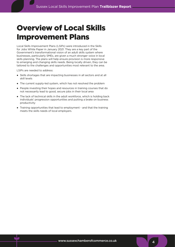## <span id="page-3-0"></span>Overview of Local Skills Improvement Plans

Local Skills Improvement Plans (LSIPs) were introduced in the Skills for Jobs White Paper in January 2021. They are a key part of the Government's transformational vision of an adult skills system where businesses, particularly SMEs, are given a much stronger voice in local skills planning. The plans will help ensure provision is more responsive to emerging and changing skills needs. Being locally driven, they can be tailored to the challenges and opportunities most relevant to the area.

LSIPs are needed to address:

- Skills shortages that are impacting businesses in all sectors and at all skill levels
- The current supply-led system, which has not resolved the problem
- People investing their hopes and resources in training courses that do not necessarily lead to good, secure jobs in their local area
- The lack of technical skills in the adult workforce, which is holding back individuals' progression opportunities and putting a brake on business productivity
- Training opportunities that lead to employment and that the training meets the skills needs of local employers.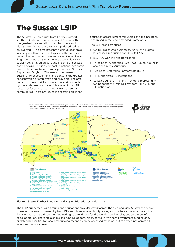## <span id="page-4-0"></span>The Sussex LSIP

The Sussex LSIP area runs from Gatwick Airport south to Brighton – the two areas of Sussex with the greatest concentration of skilled jobs – and along the entire Sussex coastal strip, described as an inverted T. This area presents a unique economic landscape within a compact space, with the more buoyant economies of the area around Gatwick and Brighton contrasting with the less economically or socially advantaged areas found in some of Sussex's coastal towns. This is a compact, functional economic area, with natural travel to work patterns to Gatwick Airport and Brighton. The area encompasses Sussex's larger settlements and contains the greatest concentration of employers and providers. The area outside the inverted T is mainly rural and dominated by the land-based sector, which is one of the LSIP sectors of focus to draw in needs from these rural communities. There are issues in accessing skills and

education across rural communities and this has been recognised in the recommended Framework.

The LSIP area comprises:

- 60,480 registered businesses, 79.7% of all Sussex businesses, producing over £35Bn GVA
- 855,000 working age population
- Three Local Authorities (LAs), two County Councils and one Unitary Authority
- Two Local Enterprise Partnerships (LEPs)
- 14 FE and three HE Institutions
- Sussex Council of Training Providers, representing 90 Independent Training Providers (ITPs), FE and HE institutions.

5



Figure 1: Sussex Further Education and Higher Education establishment

The LSIP businesses, skills groups and educations providers work across the area and view Sussex as a whole. However, the area is covered by two LEPs and three local authority areas, and this tends to detract from the focus on Sussex as a distinct entity, leading to a tendency for silo working and missing out on the benefits of collaboration. There are also missed funding opportunities, particularly where government funding and/ or differing priorities for local area funding means it can be accessed by some, but too often not across all locations that are in need.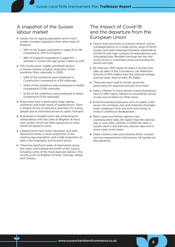### <span id="page-5-0"></span>A snapshot of the Sussex labour market

- Sussex has an ageing population and a much smaller younger population than other areas of England.
	- 30% of the Sussex population is aged 25 to 49, compared to 33% for England.
	- 38% of England's population is aged 50+, whereas in Sussex this age group makes up 43%.
- The Construction, Health and Retail sectors in Sussex employ a higher proportion of the workforce than nationally. In 2020:
	- 5.8% of the workforce were employed in Construction compared to 4.9% nationally
	- 14.6% of the workforce were employed in Health, compared to 12.9% nationally
	- 10.3% of the workforce were employed in Retail compared to 9.3% nationally
- Rural areas have a particularly large ageing workforce and lower levels of qualifications. There is limited choice of education providers for young people due to restricted access to public transport.
- Businesses in smaller towns are competing for skilled labour with the cities of Brighton & Hove and London which are often perceived as more attractive places to work.
- Coastal towns have lower education and skills attainment levels, a lower proportion of the working age population, and a high proportion of jobs in the hospitality and tourism sector.
- There are significant areas of deprivation along the coast, and towards the North of the County, including some of the most deprived wards in the country such as Brighton & Hove, Hastings, Selsey and Crawley.

### The impact of Covid-19 and the departure from the European Union

- Due to their proximity to Gatwick Airport, and an overdependence on a single sector, areas of North Sussex have been disproportionately impacted by COVID-19 with high numbers of redundancies and furloughed jobs. Resident earnings are low and house prices in immediate areas surrounding the airport are high.
- By February 2021 nearly all areas in Sussex had take-up rates of the Coronavirus Job Retention Scheme (CJRS) higher than the national average and five areas were at least 3% higher.
- There are many hard to fill job vacancies, particularly for seasonal and part-time work.
- Salary inflation in many sectors means businesses have to offer higher salaries to successfully recruit or lose out on labour to other areas.
- External business pressures such as supply chain issues, tax increases, fuel and materials shortages mean employers have less time and money to invest in workforce development.
- Both Lewes and Rother districts had unemployment rates 3% higher than the national rate in June 2021, whereas in 2020 the rates in Sussex were in line with the national rates and in some cases much lower.
- Older workers, men and minority ethnic workers are over-represented in the sectors hit hardest by the pandemic.

6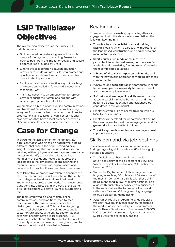# <span id="page-6-0"></span>LSIP Trailblazer **Objectives**

The overarching objectives of the Sussex LSIP trailblazer were to:

- Build a shared understanding around the skills needs of the key sectors, enabling Sussex to bounce back from the impact of Covid, and secure opportunities provided by Brexit
- Extend the collaboration between education providers to co-design new skills programmes and qualifications with employers to meet identified needs in the key sectors
- Deploy innovative and effective ways of reaching employers and collating futures skills needs in a meaningful way
- Translate needs into an effective tool to support providers adapt their offers and engage with schools, young people and adults.

We employed a blend of data, online communications and traditional face-to-face discussions, involving everyone from sole traders, the various public sector organisations and to large, private sector national organisations that have a local presence as well as MPs and councillors, schools and the third sector.

## Case for Change

In pursuing the achievement of the objectives, significant focus was placed on adding value, being different, challenging the norm, providing new insights, disrupting the status quo and innovation. Working with employers and employer representative groups to identify the local needs, as well as identifying the solutions needed to address the local needs in the key sectors of engineering and manufacturing, construction, digital, visitor and cultural industries, land based and health and care.

A collaborative approach was taken to generate this plan that recognises the skills needs and the solutions that colleges, universities and provided need to implement to address these needs. As the economy transitions into a post-covid and post-Brexit world, skills development will play a key role in supporting this.

The team employed a blend of data, online communications, and traditional face-to-face discussions, with those who experience the challenges on the ground. This involved targeting various stakeholders such as sole traders, public sector organisations, large private sector national organisations that have a local presence, MPs, councillors, schools and the third sector. The goal was to identify what unmet needs currently exist, and to forecast the future skills needed in Sussex.

### Key Findings

From our analysis of existing reports, together with engagement with the stakeholders, we distilled the following key findings:

- There is a lack of specialist practical training facilities locally, which is particularly important for the land based, construction, and engineering and manufacturing sectors
- Short courses and modular courses are of particular interest to businesses, but there are few available and the existing funding rules often make them complicated to access
- A blend of virtual and in-person training fits well with the new hybrid approach to working practices in many sector
- Where course accreditation is appropriate, it needs to be **developed more quickly** to remain current and to meet employers needs
- Soft skills and employability skills are as important as technical skills in many businesses, and they need to be better identified and evidenced by candidates in the job market
- Employers would like to access training which is local to their business
- Employers understand the importance of training their employees to meet the emerging demand for green skills but are hesitant to invest
- The skills system is complex, and employers need support to navigate it

### Skills demand via job postings

The following statements summarise some key findings regarding skills needs identified through job postings in Sussex:

- The Digital sector had the highest median advertised salary of the six sectors at £40k and Visitor, Hospitality, Creative and Cultural had the lowest at £20k.
- Within the Digital sector, skills in programming languages such as, SQL, Java and C# are some of the most in-demand hard skills with those skills being mentioned in 45% of digital postings. This aligns with qualitative feedback from businesses in the sector where the top required technical skills were C++ and C# programming languages, followed closely by game design.
- Jobs which require programme language skills typically have much higher salaries, for example the median advertised salary for Programmers and Software Developers in Sussex was £50,000 in October 2021. However, only 6% of postings in Sussex were for digital occupations.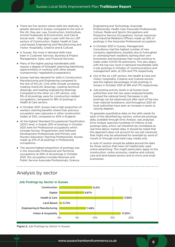- <span id="page-7-0"></span>● There are five sectors where skills are relatively in greater demand in Sussex compared to the rest of the UK, they are: Law, Construction, Horticulture, Animal Husbandry & Environment, and Care & Social work – they align in part with the six LSIP sectors of Construction, Digital, Health & Care, Land based, Engineering and Manufacturing and Visitor, Hospitality, Creative and & Cultural.
- In Sussex, the most in demand skills have been in Customer Services, Business & Project Management, Sales, and Financial Services.
- Many of the higher paying transferable skills require a degree of foresight (planning/identifying opportunities) or working with other people (compromise/ negotiation/cooperation).
- Sussex had less demand for skills in Construction, Manufacturing and Engineering compared to the rest of the UK. Core skills include surveying, creating AutoCAD drawings, creating technical drawings, and reading engineering drawings. Compared to the other six LSIP sectors, only 9% of all postings were for construction related occupations, compared to 18% of postings in Health & Care sectors.
- In October 2021, Sussex had a high proportion of workers claiming benefits where their previous occupation was Labourers in other construction trades at 53%, compared to 40% in England.
- At the highest Standard Occupational Classification (SOC) level, in Sussex 25% of postings in October 2021 were for Professional occupations which includes Nurses, Programmers and Software Development Professionals and Primary and Nursery Education Teaching Professionals. Nurses made up 21% of all postings in Professional occupations.
- The second highest proportion of postings was in the Associate Professional and Technical occupations at 20% of all postings in October 2021, this occupation includes Business and Public Service Associate Professionals, Science,

Engineering and Technology Associate Professionals, Health Care Associate Professionals, Culture, Media and Sports Occupations and Protective Service Occupations. Human resources and Industrial Relations Officers made up 10% of postings in the Associate Professional occupation.

- In October 2021 in Sussex, Management Consultancy had the highest number of new company registrations, possibly due to furloughed or unemployment residents starting their own businesses and businesses that could continue to trade under COVID-19 restrictions. This also aligns with the top two most in-demand transferable skills in job postings in October of 'communications and management skills, at 25% and 17% respectively.
- Out of the six LSIP sectors, the Health & Care and Visitor, Hospitality, Creative and Cultural sectors had the highest percentages of job postings in Sussex in October 2021 at 18% and 17% respectively.
- Job posting activity levels in all Sussex local authorities over the two years analysed broadly tracked the national trend. Decreases in job postings can be observed just after each of the two main national lockdowns, and throughout 2021 all local authorities have seen an increase in posts to varying degrees.

To generate quantitative data on the skills needs for each of the identified key sectors, online job postings data, available through Emsi Analyst, was analysed. Emsi Analyst searches hundreds of millions of job postings daily, which can therefore be considered as real time labour market data. It should be noted that this approach does not account for any job vacancies that might only be advertised for example by word of mouth or through local hard copy media only.

A note of caution should be added around the data for those sectors that have not traditionally used online advertising. This might particularly apply to the construction, visitor economy, creative and cultural, care and land-based sectors and to micro and small businesses.



### Analysis by sector

Figure 2: Job Postings by Sector in Sussex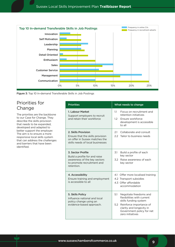<span id="page-8-0"></span>

Figure 3: Top 10 In-demand Transferable Skills in Job Postings

### Priorities for Change

The priorities are the backbone to our Case for Change. They describe the skills provision that needs to be expanded, developed and adapted to better support the employer. The aim is to ensure a more responsive local skills system that can address the challenges and barriers that have been identified.

| <b>Priorities</b>                                                                                                              | What needs to change                                                                                                                                                                                |
|--------------------------------------------------------------------------------------------------------------------------------|-----------------------------------------------------------------------------------------------------------------------------------------------------------------------------------------------------|
| 1. Labour Market<br>Support employers to recruit<br>and retain their workforce                                                 | 1.1<br>Focus on recruitment and<br>retention initiatives<br>1.2 <sup>2</sup><br>Ensure workforce<br>development is accessible<br>to all                                                             |
| 2. Skills Provision<br>Ensure that the skills provision<br>on offer in Sussex matches the<br>skills needs of local businesses  | Collaborate and consult<br>2.1<br>Tailor to business needs<br>$2.2 -$                                                                                                                               |
| 3. Sector Profile<br>Build a profile for and raise<br>awareness of the key sectors<br>to promote recruitment and<br>retention. | 3.1<br>Build a profile of each<br>key sector<br>3.2<br>Raise awareness of each<br>key sector                                                                                                        |
| 4. Accessibility<br>Ensure training and employment<br>is accessible to all                                                     | 4.1 Offer more localised training<br>4.2 Transport subsidies<br>4.3 Offer affordable<br>accommodation                                                                                               |
| 5. Skills Policy<br>Influence national and local<br>policy change using an<br>evidence-based approach.                         | 5.1<br>Negotiate freedoms and<br>flexibilities with current<br>skills funding system<br>5.2<br>Reinforce importance of<br>clarity and longevity in<br>Government policy for net<br>zero initiatives |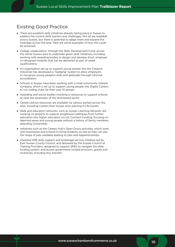### <span id="page-9-0"></span>Existing Good Practice

- There are excellent skills initiatives already taking place in Sussex to address the current skills barriers and challenges. Not all are available across Sussex, but there is potential to adapt them and expand the coverage across the area. Here are some examples of how this could be achieved:
- College collaboration, through the Skills Development Fund, across the whole Sussex area to undertake green skills initiatives, including working with awarding bodies to design and develop short, employer co-designed modules that can be delivered as part of wider qualifications
- An organisation set up to support young people into the Creative Industries has developed a "badging" system to allow employers to recognise young people's skills and aptitudes through informal accreditation
- Schools in Sussex have been working with a small community interest company, which is set up to support young people into Digital Careers to run coding clubs for their year 10 groups
- Awarding and sector bodies investing in resources to support schools to raise the awareness of the land-based sector
- Careers advice resources are available via various portals across the area, including Careers East Sussex and Learning 4 Life Sussex
- Skills and education networks, such as Sussex Learning Network, are working on projects to support progression pathways from further education into higher education via Uni Connect Funding, focusing on deprived areas and young people without a history of family members attending Universities
- Initiatives such as the Careers Hub's Open Doors activities, which work with businesses and schools to bring students on site so they can see the range of jobs available leading to jobs and Apprenticeships.
- Impartial SME skills support and brokerage service, initiative led by East Sussex County Council, and delivered by the Sussex Council of Training Providers; designed to support SMEs to navigate the skills funding system, and access government funded provision, grants and incentives, including levy transfer.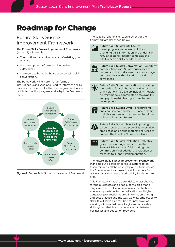## <span id="page-10-0"></span>Roadmap for Change

#### Future Skills Sussex Improvement Framework

The Future Skills Sussex Improvement Framework (Annex 2) will enable:

- The continuation and expansion of existing good practice
- the development of new and innovative approaches
- employers to be at the heart of an ongoing skills conversation.

The framework will ensure that all forms of intelligence is analysed and used to inform the skills provision on offer, and will embed regular evaluation points to monitor progress and adapt the Framework Plan.



Figure 4: Future Skills Sussex Improvement Framework

The specific functions of each element of the framework are described below:



Future Skills Sussex Intelligence – developing innovative web solutions providing skills information and undertaking regular, sectoral research to update the intelligence on skills needs in Sussex.



Future Skills Sussex Conversation – quarterly conversations with Sussex businesses to understand their skills needs and encourage collaborations with education providers to solve these.



Future Skills Sussex Innovation – providing the testbed for collaborative and innovative skills solutions to develop including modular delivery models, coordinated employability and psychometric testing and sector skills development.



Future Skills Sussex Offer – encouraging and enabling co-development and delivery of skills solutions with businesses to address skills needs across Sussex.



Future Skills Sussex Talent – improving careers resources and providing innovative area based and online matching services to harness the talent of Sussex residents.



Future Skills Sussex Evaluation – effective governance arrangements assure the Sussex LSIP is successful, including the commissioning of additional evaluation or research to support implementation.

The Future Skills Sussex Improvement Framework Plan sets out a series of cohesive actions to be taken forward collaboratively by all partners across the Sussex area, to address the skills barriers for businesses and increase productivity for the whole area.

This Framework has the potential to enact change for the businesses and people of the area that is long overdue. It will enable innovation in technical education provision, further education and higher education progression routes, information sharing and best practice and the way we view employability skills. It will serve as a test bed for new ways of working within a fast paced, agile and adaptable skills system that is a true collaboration between businesses and education providers.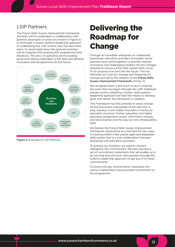#### <span id="page-11-0"></span>LSIP Partners

The Future Skills Sussex Improvement Framework activities will be undertaken in collaboration with partners (examples of which are shown in Figure 5) to formulate a Sussex systems leadership approach to undertaking the LSIP actions over the next three years. To avoid duplication the planned activities will be mapped with existing skills programmes and initiatives. The aim is to galvanise all the existing good work being undertaken in the area and develop innovative skills programmes for the future.



Figure 5: Example of LSIP Partners

# Delivering the Roadmap for Change

Through an incredible willingness to collaborate, businesses, education providers and public sector partners have come together to provide creative, innovative, and challenging insights into the changes required to ensure a local skills system that is truly fit for purpose now and into the future. This has informed our Case for Change and Roadmap for Change and led to the creation of the Future Skills Sussex Improvement Framework (Annex 2).

We recognise there is still much to do to continue the work that has begun through the LSIP Trailblazer process and by adopting a Sussex wide systems leadership approach we have the means to develop, grow and deliver the framework in coalition.

This Framework has the potential to enact change for the businesses and people of the area that is long overdue. It will enable innovation in technical education provision, further education and higher education progression routes, information sharing and best practice and the way we view employability skills.

We believe the Future Skills Sussex Improvement Framework would serve as a test bed for new ways of working within a fast paced, agile and adaptable skills system that is a true collaboration between businesses and education providers.

To achieve our ambition, we need to convert willingness into commitment. We have devised a set of commitment statements that will enable us to do just that and will work with partners through the systems leadership approach to get buy in to these commitments.

To ensure the key commitments materialise the various stakeholders have provided commitment to this programme.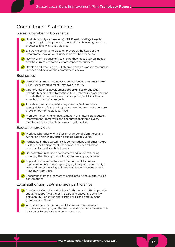#### <span id="page-12-0"></span>Commitment Statements

#### Sussex Chamber of Commerce

- Hold bi-monthly (or quarterly) LSIP Board meetings to review progress against the plan and to establish enhanced governance processes following DfE guidance
- $\blacktriangleright$  Ensure we continue to place employers at the heart of the programme through our Business Commitments below
- Review priorities quarterly to ensure they meet business needs and the current economic climate impacting business
- Develop and resource an LSIP team to enable plans to materialise Oversee and develop the commitments below

#### Businesses

- $\blacktriangleright$  Participate in the quarterly skills conversations and other Future Skills Sussex Improvement Framework activity
- $\blacktriangleright$  Offer professional development opportunities to education provider teaching staff to continually refresh their knowledge and provide their expertise to teach or support specialist subjects, especially in technical subjects
- Provide access to specialist equipment or facilities where appropriate and feasible Support course development to ensure provision better meets local need
- Promote the benefits of involvement in the Future Skills Sussex Improvement Framework and encourage their employees, members and/or other businesses to get involved

#### Education providers

- Work collaboratively with Sussex Chamber of Commerce and further and higher education partners across Sussex
- Participate in the quarterly skills conversations and other Future Skills Sussex Improvement Framework activity and adapt provision to meet identified needs
- Be innovative in course development and in use of funding, including the development of modular based programmes
- Support the implementation of the Future Skills Sussex Improvement Framework by engaging in opportunities to align core and project funding to it, such as Strategic Development Fund (SDF) activities
- ◆ Encourage staff and learners to participate in the quarterly skills conversations

#### Local authorities, LEPs and area partnerships

- The County Council's and Unitary Authority and LEPs to provide strategic support via the LSIP Board and encourage synergy between LSIP priorities and existing skills and employment groups across Sussex
- All to engage with the Future Skills Sussex Improvement Framework as employers themselves and use their influence with businesses to encourage wider engagement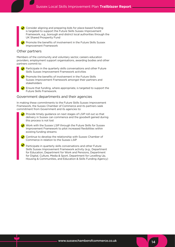- Consider aligning and preparing bids for place-based funding is targeted to support the Future Skills Sussex Improvement Framework, e.g., borough and district local authorities through the UK Shared Prosperity Fund
	- Promote the benefits of involvement in the Future Skills Sussex Improvement Framework

#### Other partners

Members of the community and voluntary sector, careers education providers, employment support organisations, awarding bodies and other partners commit to:

- $\blacktriangleright$  Participate in the quarterly skills conversations and other Future Skills Sussex Improvement Framework activities
- Promote the benefits of involvement in the Future Skills Sussex Improvement Framework amongst their partners and stakeholders
- Ensure that funding, where appropriate, is targeted to support the Future Skills Framework.

#### Government departments and their agencies

In making these commitments to the Future Skills Sussex Improvement Framework, the Sussex Chamber of Commerce and its partners seek commitment from Government and its agencies to:

- Provide timely guidance on next stages of LSIP roll out so that delivery in Sussex can commence and the goodwill gained during this process is not lost
- Work with the Sussex LSIP through the Future Skills for Sussex Improvement Framework to pilot increased flexibilities within existing funding streams
- Continue to develop the relationship with Sussex Chamber of Commerce in relation to the Sussex LSIP
- Participate in quarterly skills conversations and other Future Skills Sussex Improvement Framework activity (e.g., Department for Education, Department for Work and Pensions, Department for Digital, Culture, Media & Sport, Department for Levelling Up, Housing & Communities, and Education & Skills Funding Agency)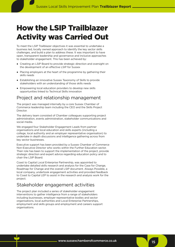# <span id="page-14-0"></span>How the LSIP Trailblazer Activity was Carried Out

To meet the LSIP Trailblazer objectives it was essential to undertake a business led, locally owned approach to identify the key sector skills challenges, and build a plan to address these. It was important to have open, transparent leadership and governance and inclusive approaches to stakeholder engagement. This has been achieved by:

- Creating an LSIP Board to provide strategic direction and oversight on the development of an effective LSIP for Sussex
- Placing employers at the heart of the programme by gathering their skills needs
- Establishing an innovative Sussex Taxonomy of Skills to provide stakeholders with an understanding of those skills needs
- Empowering local education providers to develop new skills opportunities linked to Technical Skills innovation

### Project and relationship management

The project was managed internally by a core Sussex Chamber of Commerce leadership team including the CEO and the Skills Project Director.

The delivery team consisted of Chamber colleagues supporting project administration, events administration, stakeholder communications and social media.

We engaged four Stakeholder Engagement Leads from partner organisations and local education and skills experts (including a college, local authority and an employer representative organisation) to undertake in depth discussions and intelligence gathering across from key sector businesses.

Executive support has been provided by a Sussex Chamber of Commerce Non-Executive Director who works within the Further Education sector. Their role has been to support the implementation of the project, provide strategic direction and expert advice regarding education policy and to chair the LSIP Board.

Coast to Capital Local Enterprise Partnership, was appointed to undertake detailed skills research and analysis for the Case for Change, Roadmap for Change and the overall LSIP document. Always Possible, a local company, undertook engagement activities and provided feedback to Coast to Capital LEP to assist in the research and analysis work for the project.

### Stakeholder engagement activities

The project plan included a series of stakeholder engagement interventions to gather intelligence from a range of stakeholders including businesses, employer representative bodies and sector organisations, local authorities and Local Enterprise Partnerships, employment and skills groups and employment and careers support organisations.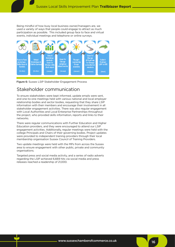<span id="page-15-0"></span>Being mindful of how busy local business owner/managers are, we used a variety of ways that people could engage to attract as much participation as possible. This included group face to face and virtual events, individual meetings and telephone or online surveys.



Figure 6: Sussex LSIP Stakeholder Engagement Process

#### Stakeholder communication

To ensure stakeholders were kept informed, update emails were sent, and one-to-one meetings held with various national and local employer relationship bodies and sector bodies, requesting that they share LSIP information with their members and encourage their involvement in all stakeholder engagement activities. There was also regular engagement with Local Authorities and Local Enterprise Partnerships throughout the project, who provided skills information, reports and links to their networks.

There were regular communications with Further Education and Higher Education providers, and they were encouraged to attend our LSIP engagement activities. Additionally, regular meetings were held with the college Principals and Chairs of their governing bodies. Project updates were provided to independent training providers through their local membership organisation Sussex Council of Training Providers.

Two update meetings were held with the MPs from across the Sussex area to ensure engagement with other public, private and community organisations.

Targeted press and social media activity, and a series of radio adverts regarding the LSIP achieved 6,669 hits via social media and press releases reached a readership of 21,000.